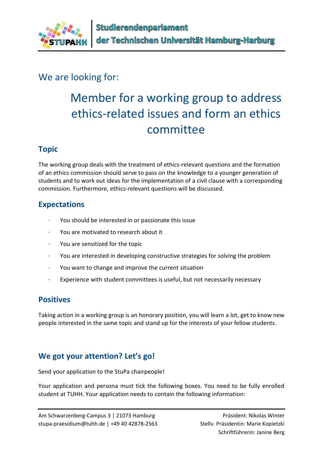

# We are looking for:

# Member for a working group to address ethics-related issues and form an ethics committee

## **Topic**

The working group deals with the treatment of ethics-relevant questions and the formation of an ethics commission should serve to pass on the knowledge to a younger generation of students and to work out ideas for the implementation of a civil clause with a corresponding commission. Furthermore, ethics-relevant questions will be discussed.

#### **Expectations**

- · You should be interested in or passionate this issue
- · You are motivated to research about it
- · You are sensitized for the topic
- · You are interested in developing constructive strategies for solving the problem
- · You want to change and improve the current situation
- Experience with student committees is useful, but not necessarily necessary

#### **Positives**

Taking action in a working group is an honorary position, you will learn a lot, get to know new people interested in the same topic and stand up for the interests of your fellow students.

## **We got your attention? Let's go!**

Send your application to the StuPa chairpeople!

Your application and persona must tick the following boxes. You need to be fully enrolled student at TUHH. Your application needs to contain the following information: